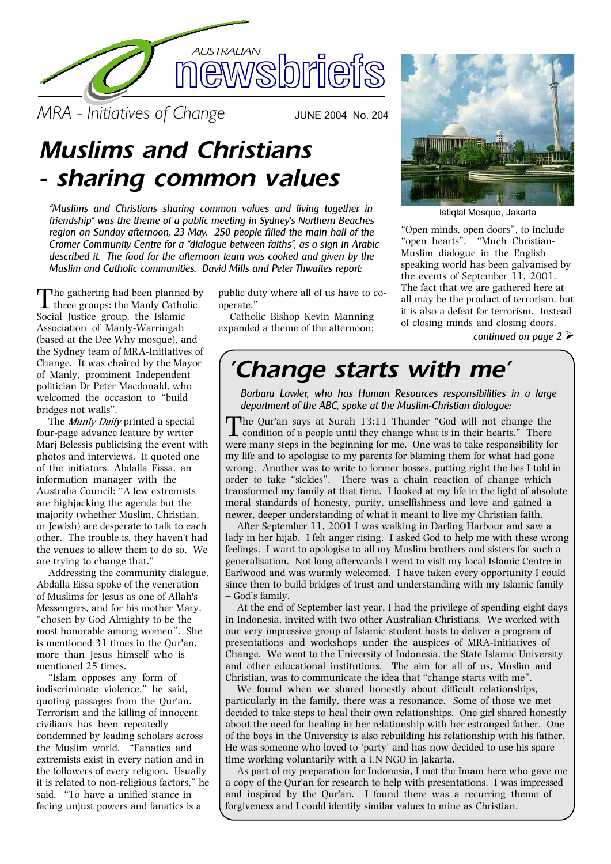

*MRA - Initiatives of Change* JUNE 2004 No. 204

# *Muslims and Christians - sharing common values*

*"Muslims and Christians sharing common values and living together in friendship" was the theme of a public meeting in Sydney's Northern Beaches region on Sunday afternoon, 23 May. 250 people filled the main hall of the Cromer Community Centre for a "dialogue between faiths", as a sign in Arabic described it. The food for the afternoon team was cooked and given by the Muslim and Catholic communities. David Mills and Peter Thwaites report:*

The gathering had been planned by three groups: the Manly Catholic Social Justice group, the Islamic Association of Manly-Warringah (based at the Dee Why mosque), and the Sydney team of MRA-Initiatives of Change. It was chaired by the Mayor of Manly, prominent Independent politician Dr Peter Macdonald, who welcomed the occasion to "build bridges not walls".

The Manly Daily printed a special four-page advance feature by writer Marj Belessis publicising the event with photos and interviews. It quoted one of the initiators, Abdalla Eissa, an information manager with the Australia Council: "A few extremists are highjacking the agenda but the majority (whether Muslim, Christian, or Jewish) are desperate to talk to each other. The trouble is, they haven't had the venues to allow them to do so. We are trying to change that."

Addressing the community dialogue, Abdalla Eissa spoke of the veneration of Muslims for Jesus as one of Allah's Messengers, and for his mother Mary, "chosen by God Almighty to be the most honorable among women". She is mentioned 31 times in the Qur'an, more than Jesus himself who is mentioned 25 times.

"Islam opposes any form of indiscriminate violence," he said, quoting passages from the Qur'an. Terrorism and the killing of innocent civilians has been repeatedly condemned by leading scholars across the Muslim world. "Fanatics and extremists exist in every nation and in the followers of every religion. Usually it is related to non-religious factors," he said. "To have a unified stance in facing unjust powers and fanatics is a

public duty where all of us have to co operate."

Catholic Bishop Kevin Manning expanded a theme of the afternoon:



Istiqlal Mosque, Jakarta

"Open minds, open doors", to include "open hearts". "Much Christian- Muslim dialogue in the English speaking world has been galvanised by the events of September 11, 2001. The fact that we are gathered here at all may be the product of terrorism, but it is also a defeat for terrorism. Instead of closing minds and closing doors,

*continued on page 2*ÿ

# *'Change starts with me'*

*Barbara Lawler, who has Human Resources responsibilities in a large department of the ABC, spoke at the Muslim-Christian dialogue:*

The Qur'an says at Surah 13:11 Thunder "God will not change the condition of a people until they change what is in their hearts." There were many steps in the beginning for me. One was to take responsibility for my life and to apologise to my parents for blaming them for what had gone wrong. Another was to write to former bosses, putting right the lies I told in order to take "sickies". There was a chain reaction of change which transformed my family at that time. I looked at my life in the light of absolute moral standards of honesty, purity, unselfishness and love and gained a newer, deeper understanding of what it meant to live my Christian faith.

After September 11, 2001 I was walking in Darling Harbour and saw a lady in her hijab. I felt anger rising. I asked God to help me with these wrong feelings. I want to apologise to all my Muslim brothers and sisters for such a generalisation. Not long afterwards I went to visit my local Islamic Centre in Earlwood and was warmly welcomed. I have taken every opportunity I could since then to build bridges of trust and understanding with my Islamic family – God's family.

At the end of September last year, I had the privilege of spending eight days in Indonesia, invited with two other Australian Christians. We worked with our very impressive group of Islamic student hosts to deliver a program of presentations and workshops under the auspices of MRA-Initiatives of Change. We went to the University of Indonesia, the State Islamic University and other educational institutions. The aim for all of us, Muslim and Christian, was to communicate the idea that "change starts with me".

We found when we shared honestly about difficult relationships, particularly in the family, there was a resonance. Some of those we met decided to take steps to heal their own relationships. One girl shared honestly about the need for healing in her relationship with her estranged father. One of the boys in the University is also rebuilding his relationship with his father. He was someone who loved to 'party' and has now decided to use his spare time working voluntarily with a UN NGO in Jakarta.

As part of my preparation for Indonesia, I met the Imam here who gave me a copy of the Qur'an for research to help with presentations. I was impressed and inspired by the Qur'an. I found there was a recurring theme of forgiveness and I could identify similar values to mine as Christian.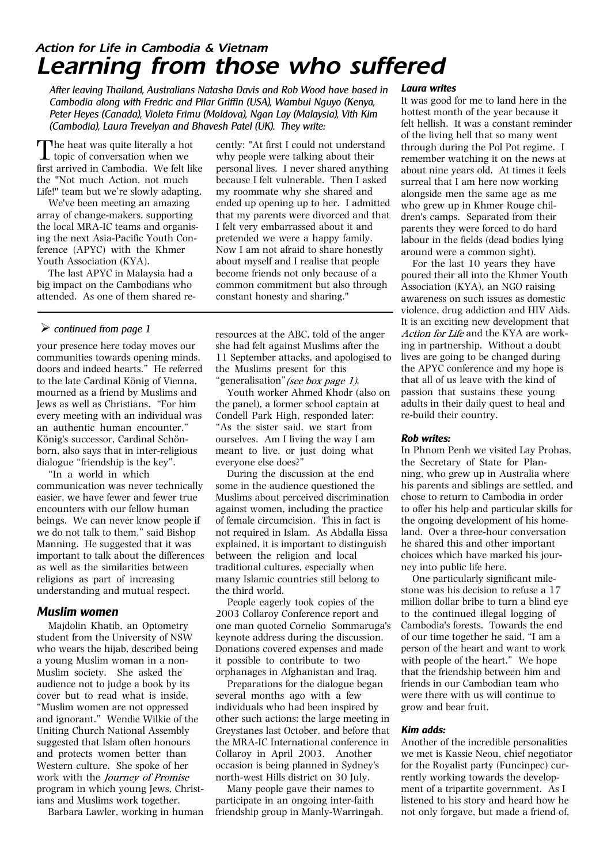### *Action for Life in Cambodia & Vietnam Learning from those who suffered*

*After leaving Thailand, Australians Natasha Davis and Rob Wood have based in Cambodia along with Fredric and Pilar Griffin (USA), Wambui Nguyo (Kenya, Peter Heyes (Canada), Violeta Frimu (Moldova), Ngan Lay (Malaysia), Vith Kim (Cambodia), Laura Trevelyan and Bhavesh Patel (UK). They write:*

The heat was quite literally a hot<br>topic of conversation when we<br>to be welly first arrived in Cambodia. We felt like the "Not much Action, not much Life!" team but we're slowly adapting.

We've been meeting an amazing array of change-makers, supporting the local MRA-IC teams and organis ing the next Asia-Pacific Youth Con ference (APYC) with the Khmer Youth Association (KYA).

The last APYC in Malaysia had a big impact on the Cambodians who attended. As one of them shared re-

### ÿ *continued from page 1*

your presence here today moves our communities towards opening minds, doors and indeed hearts." He referred to the late Cardinal König of Vienna, mourned as a friend by Muslims and Jews as well as Christians. "For him every meeting with an individual was an authentic human encounter." König's successor, Cardinal Schön born, also says that in inter-religious dialogue "friendship is the key".

"In a world in which communication was never technically easier, we have fewer and fewer true encounters with our fellow human beings. We can never know people if we do not talk to them," said Bishop Manning. He suggested that it was important to talk about the differences as well as the similarities between religions as part of increasing understanding and mutual respect.

### *Muslim women*

Majdolin Khatib, an Optometry student from the University of NSW who wears the hijab, described being a young Muslim woman in a non- Muslim society. She asked the audience not to judge a book by its cover but to read what is inside. "Muslim women are not oppressed and ignorant." Wendie Wilkie of the Uniting Church National Assembly suggested that Islam often honours and protects women better than Western culture. She spoke of her work with the *Journey of Promise* program in which young Jews, Christ ians and Muslims work together.

Barbara Lawler, working in human

cently: "At first I could not understand why people were talking about their personal lives. I never shared anything because I felt vulnerable. Then I asked my roommate why she shared and ended up opening up to her. I admitted that my parents were divorced and that I felt very embarrassed about it and pretended we were a happy family. Now I am not afraid to share honestly about myself and I realise that people become friends not only because of a common commitment but also through constant honesty and sharing."

resources at the ABC, told of the anger she had felt against Muslims after the 11 September attacks, and apologised to the Muslims present for this "generalisation" *(see box page 1)*.

Youth worker Ahmed Khodr (also on the panel), a former school captain at Condell Park High, responded later: "As the sister said, we start from ourselves. Am I living the way I am meant to live, or just doing what everyone else does?"

During the discussion at the end some in the audience questioned the Muslims about perceived discrimination against women, including the practice of female circumcision. This in fact is not required in Islam. As Abdalla Eissa explained, it is important to distinguish between the religion and local traditional cultures, especially when many Islamic countries still belong to the third world.

People eagerly took copies of the 2003 Collaroy Conference report and one man quoted Cornelio Sommaruga's keynote address during the discussion. Donations covered expenses and made it possible to contribute to two orphanages in Afghanistan and Iraq.

Preparations for the dialogue began several months ago with a few individuals who had been inspired by other such actions: the large meeting in Greystanes last October, and before that the MRA-IC International conference in Collaroy in April 2003. Another occasion is being planned in Sydney's north-west Hills district on 30 July.

Many people gave their names to participate in an ongoing inter-faith friendship group in Manly-Warringah.

#### *Laura writes*

It was good for me to land here in the hottest month of the year because it felt hellish. It was a constant reminder of the living hell that so many went through during the Pol Pot regime. I remember watching it on the news at about nine years old. At times it feels surreal that I am here now working alongside men the same age as me who grew up in Khmer Rouge chil dren's camps. Separated from their parents they were forced to do hard labour in the fields (dead bodies lying around were a common sight).

For the last 10 years they have poured their all into the Khmer Youth Association (KYA), an NGO raising awareness on such issues as domestic violence, drug addiction and HIV Aids. It is an exciting new development that Action for Life and the KYA are working in partnership. Without a doubt lives are going to be changed during the APYC conference and my hope is that all of us leave with the kind of passion that sustains these young adults in their daily quest to heal and re-build their country.

#### *Rob writes:*

In Phnom Penh we visited Lay Prohas, the Secretary of State for Plan ning, who grew up in Australia where his parents and siblings are settled, and chose to return to Cambodia in order to offer his help and particular skills for the ongoing development of his home land. Over a three-hour conversation he shared this and other important choices which have marked his jour ney into public life here.

One particularly significant mile stone was his decision to refuse a 17 million dollar bribe to turn a blind eye to the continued illegal logging of Cambodia's forests. Towards the end of our time together he said, "I am a person of the heart and want to work with people of the heart." We hope that the friendship between him and friends in our Cambodian team who were there with us will continue to grow and bear fruit.

### *Kim adds:*

Another of the incredible personalities we met is Kassie Neou, chief negotiator for the Royalist party (Funcinpec) cur rently working towards the develop ment of a tripartite government. As I listened to his story and heard how he not only forgave, but made a friend of,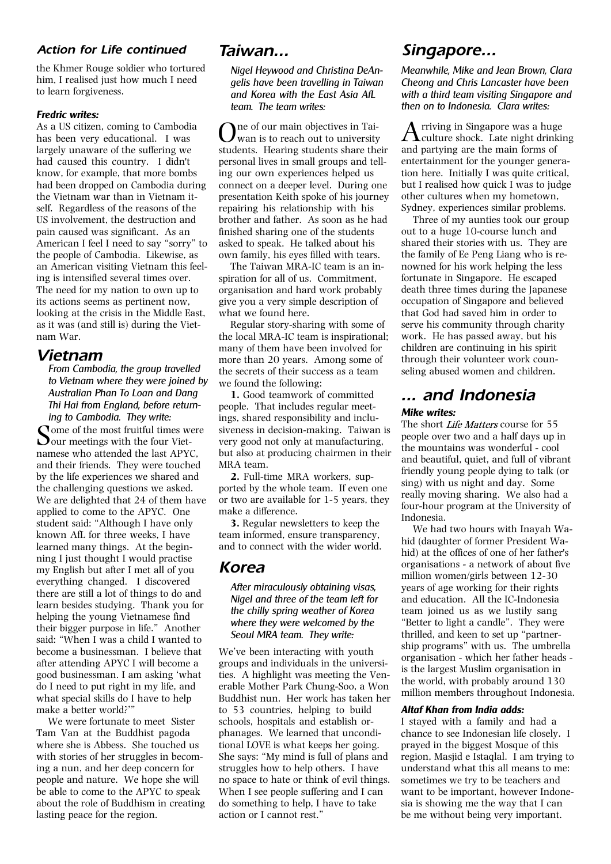### *Action for Life continued*

the Khmer Rouge soldier who tortured him, I realised just how much I need to learn forgiveness.

#### *Fredric writes:*

As a US citizen, coming to Cambodia has been very educational. I was largely unaware of the suffering we had caused this country. I didn't know, for example, that more bombs had been dropped on Cambodia during the Vietnam war than in Vietnam it self. Regardless of the reasons of the US involvement, the destruction and pain caused was significant. As an American I feel I need to say "sorry" to the people of Cambodia. Likewise, as an American visiting Vietnam this feel ing is intensified several times over. The need for my nation to own up to its actions seems as pertinent now, looking at the crisis in the Middle East, as it was (and still is) during the Viet nam War.

### *Vietnam*

*From Cambodia, the group travelled to Vietnam where they were joined by Australian Phan To Loan and Dang Thi Hai from England, before return ing to Cambodia. They write:*

Some of the most fruitful times were our meetings with the four Viet namese who attended the last APYC, and their friends. They were touched by the life experiences we shared and the challenging questions we asked. We are delighted that 24 of them have applied to come to the APYC. One student said: "Although I have only known AfL for three weeks, I have learned many things. At the begin ning I just thought I would practise my English but after I met all of you everything changed. I discovered there are still a lot of things to do and learn besides studying. Thank you for helping the young Vietnamese find their bigger purpose in life." Another said: "When I was a child I wanted to become a businessman. I believe that after attending APYC I will become a good businessman. I am asking 'what do I need to put right in my life, and what special skills do I have to help make a better world?'"

We were fortunate to meet Sister Tam Van at the Buddhist pagoda where she is Abbess. She touched us with stories of her struggles in becom ing a nun, and her deep concern for people and nature. We hope she will be able to come to the APYC to speak about the role of Buddhism in creating lasting peace for the region.

### *Taiwan...*

*Nigel Heywood and Christina DeAn gelis have been travelling in Taiwan and Korea with the East AsiaAfL team. The team writes:*

One of our main objectives in Tai- wan is to reach out to university students. Hearing students share their personal lives in small groups and tell ing our own experiences helped us connect on a deeper level. During one presentation Keith spoke of his journey repairing his relationship with his brother and father. As soon as he had finished sharing one of the students asked to speak. He talked about his own family, his eyes filled with tears.

The Taiwan MRA-IC team is an in spiration for all of us. Commitment, organisation and hard work probably give you a very simple description of what we found here.

Regular story-sharing with some of the local MRA-IC team is inspirational; many of them have been involved for more than 20 years. Among some of the secrets of their success as a team we found the following:

**1.** Good teamwork of committed people. That includes regular meet ings, shared responsibility and inclu siveness in decision-making. Taiwan is very good not only at manufacturing, but also at producing chairmen in their MRA team.

**2.** Full-time MRA workers, sup ported by the whole team. If even one or two are available for 1-5 years, they make a difference.

**3.** Regular newsletters to keep the team informed, ensure transparency, and to connect with the wider world.

### *Korea*

*After miraculously obtaining visas, Nigel and three of the team left for the chilly spring weather of Korea where they were welcomed by the Seoul MRA team. They write:*

We've been interacting with youth groups and individuals in the universi ties. A highlight was meeting the Ven erable Mother Park Chung-Soo, a Won Buddhist nun. Her work has taken her to 53 countries, helping to build schools, hospitals and establish or phanages. We learned that uncondi tional LOVE is what keeps her going. She says: "My mind is full of plans and struggles how to help others. I have no space to hate or think of evil things. When I see people suffering and I can do something to help, I have to take action or I cannot rest."

### *Singapore...*

*Meanwhile, Mike and Jean Brown, Clara Cheong and Chris Lancaster have been with a third team visiting Singapore and then on to Indonesia. Clara writes:*

Arriving in Singapore was a huge culture shock. Late night drinking and partying are the main forms of entertainment for the younger genera tion here. Initially I was quite critical, but I realised how quick I was to judge other cultures when my hometown, Sydney, experiences similar problems.

Three of my aunties took our group out to a huge 10-course lunch and shared their stories with us. They are the family of Ee Peng Liang who is re nowned for his work helping the less fortunate in Singapore. He escaped death three times during the Japanese occupation of Singapore and believed that God had saved him in order to serve his community through charity work. He has passed away, but his children are continuing in his spirit through their volunteer work coun seling abused women and children.

## *... and Indonesia*

### *Mike writes:*

The short Life Matters course for 55 people over two and a half days up in the mountains was wonderful - cool and beautiful, quiet, and full of vibrant friendly young people dying to talk (or sing) with us night and day. Some really moving sharing. We also had a four-hour program at the University of Indonesia.

We had two hours with Inayah Wa hid (daughter of former President Wa hid) at the offices of one of her father's organisations - a network of about five million women/girls between 12-30 years of age working for their rights and education. All the IC-Indonesia team joined us as we lustily sang "Better to light a candle". They were thrilled, and keen to set up "partner ship programs" with us. The umbrella organisation - which her father heads is the largest Muslim organisation in the world, with probably around 130 million members throughout Indonesia.

#### *Altaf Khan from India adds:*

I stayed with a family and had a chance to see Indonesian life closely. I prayed in the biggest Mosque of this region, Masjid e Istaqlal. I am trying to understand what this all means to me: sometimes we try to be teachers and want to be important, however Indone sia is showing me the way that I can be me without being very important.